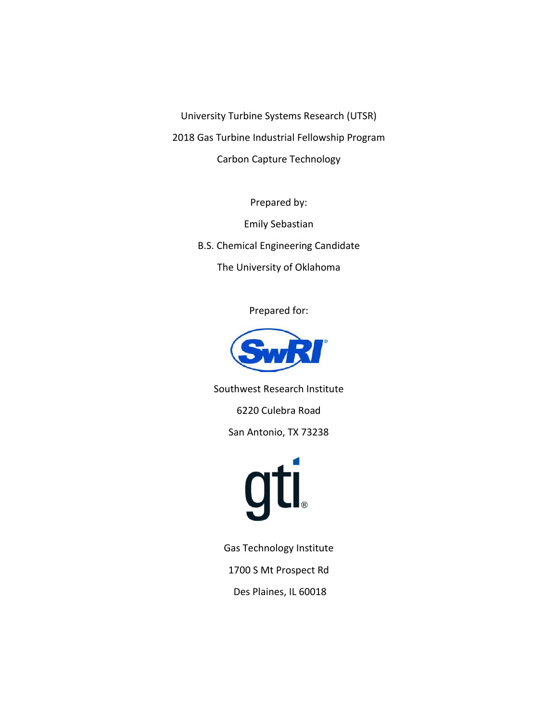University Turbine Systems Research (UTSR) 2018 Gas Turbine Industrial Fellowship Program Carbon Capture Technology

> Prepared by: Emily Sebastian B.S. Chemical Engineering Candidate The University of Oklahoma

> > Prepared for:



Southwest Research Institute

6220 Culebra Road

San Antonio, TX 73238



Gas Technology Institute

1700 S Mt Prospect Rd

Des Plaines, IL 60018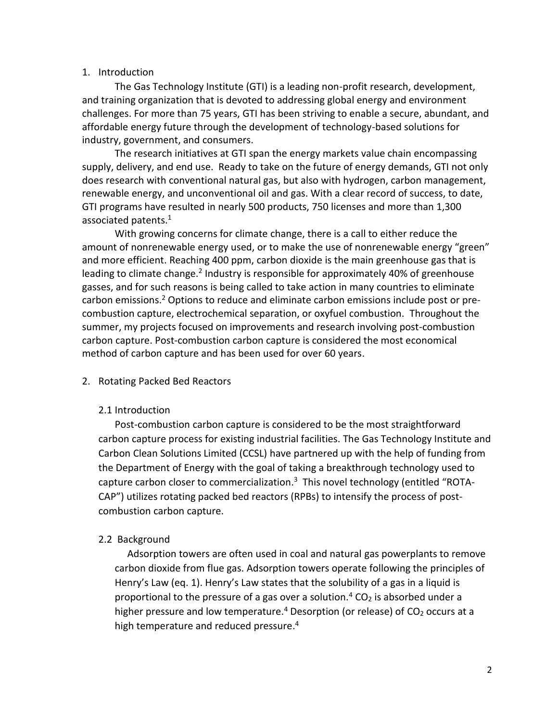## 1. Introduction

The Gas Technology Institute (GTI) is a leading non-profit research, development, and training organization that is devoted to addressing global energy and environment challenges. For more than 75 years, GTI has been striving to enable a secure, abundant, and affordable energy future through the development of technology-based solutions for industry, government, and consumers.

The research initiatives at GTI span the energy markets value chain encompassing supply, delivery, and end use. Ready to take on the future of energy demands, GTI not only does research with conventional natural gas, but also with hydrogen, carbon management, renewable energy, and unconventional oil and gas. With a clear record of success, to date, GTI programs have resulted in nearly 500 products, 750 licenses and more than 1,300 associated patents. 1

With growing concerns for climate change, there is a call to either reduce the amount of nonrenewable energy used, or to make the use of nonrenewable energy "green" and more efficient. Reaching 400 ppm, carbon dioxide is the main greenhouse gas that is leading to climate change.<sup>2</sup> Industry is responsible for approximately 40% of greenhouse gasses, and for such reasons is being called to take action in many countries to eliminate carbon emissions.<sup>2</sup> Options to reduce and eliminate carbon emissions include post or precombustion capture, electrochemical separation, or oxyfuel combustion. Throughout the summer, my projects focused on improvements and research involving post-combustion carbon capture. Post-combustion carbon capture is considered the most economical method of carbon capture and has been used for over 60 years.

# 2. Rotating Packed Bed Reactors

# 2.1 Introduction

Post-combustion carbon capture is considered to be the most straightforward carbon capture process for existing industrial facilities. The Gas Technology Institute and Carbon Clean Solutions Limited (CCSL) have partnered up with the help of funding from the Department of Energy with the goal of taking a breakthrough technology used to capture carbon closer to commercialization.<sup>3</sup> This novel technology (entitled "ROTA-CAP") utilizes rotating packed bed reactors (RPBs) to intensify the process of postcombustion carbon capture.

# 2.2 Background

 Adsorption towers are often used in coal and natural gas powerplants to remove carbon dioxide from flue gas. Adsorption towers operate following the principles of Henry's Law (eq. 1). Henry's Law states that the solubility of a gas in a liquid is proportional to the pressure of a gas over a solution.<sup>4</sup> CO<sub>2</sub> is absorbed under a higher pressure and low temperature.<sup>4</sup> Desorption (or release) of  $CO<sub>2</sub>$  occurs at a high temperature and reduced pressure. 4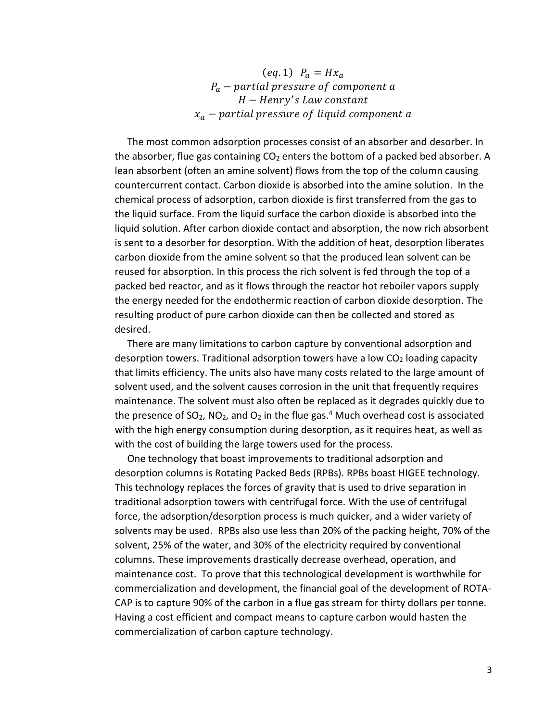$(eq. 1)$   $P_a = Hx_a$  $P_a$  – partial pressure of component a H – Henry's Law constant  $x_a$  – partial pressure of liquid component a

 The most common adsorption processes consist of an absorber and desorber. In the absorber, flue gas containing  $CO<sub>2</sub>$  enters the bottom of a packed bed absorber. A lean absorbent (often an amine solvent) flows from the top of the column causing countercurrent contact. Carbon dioxide is absorbed into the amine solution. In the chemical process of adsorption, carbon dioxide is first transferred from the gas to the liquid surface. From the liquid surface the carbon dioxide is absorbed into the liquid solution. After carbon dioxide contact and absorption, the now rich absorbent is sent to a desorber for desorption. With the addition of heat, desorption liberates carbon dioxide from the amine solvent so that the produced lean solvent can be reused for absorption. In this process the rich solvent is fed through the top of a packed bed reactor, and as it flows through the reactor hot reboiler vapors supply the energy needed for the endothermic reaction of carbon dioxide desorption. The resulting product of pure carbon dioxide can then be collected and stored as desired.

 There are many limitations to carbon capture by conventional adsorption and desorption towers. Traditional adsorption towers have a low  $CO<sub>2</sub>$  loading capacity that limits efficiency. The units also have many costs related to the large amount of solvent used, and the solvent causes corrosion in the unit that frequently requires maintenance. The solvent must also often be replaced as it degrades quickly due to the presence of SO<sub>2</sub>, NO<sub>2</sub>, and O<sub>2</sub> in the flue gas.<sup>4</sup> Much overhead cost is associated with the high energy consumption during desorption, as it requires heat, as well as with the cost of building the large towers used for the process.

 One technology that boast improvements to traditional adsorption and desorption columns is Rotating Packed Beds (RPBs). RPBs boast HIGEE technology. This technology replaces the forces of gravity that is used to drive separation in traditional adsorption towers with centrifugal force. With the use of centrifugal force, the adsorption/desorption process is much quicker, and a wider variety of solvents may be used. RPBs also use less than 20% of the packing height, 70% of the solvent, 25% of the water, and 30% of the electricity required by conventional columns. These improvements drastically decrease overhead, operation, and maintenance cost. To prove that this technological development is worthwhile for commercialization and development, the financial goal of the development of ROTA-CAP is to capture 90% of the carbon in a flue gas stream for thirty dollars per tonne. Having a cost efficient and compact means to capture carbon would hasten the commercialization of carbon capture technology.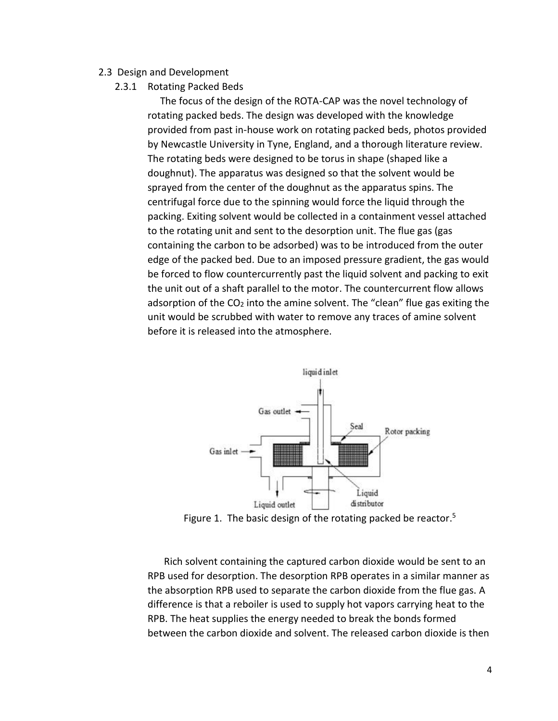## 2.3 Design and Development

2.3.1 Rotating Packed Beds

 The focus of the design of the ROTA-CAP was the novel technology of rotating packed beds. The design was developed with the knowledge provided from past in-house work on rotating packed beds, photos provided by Newcastle University in Tyne, England, and a thorough literature review. The rotating beds were designed to be torus in shape (shaped like a doughnut). The apparatus was designed so that the solvent would be sprayed from the center of the doughnut as the apparatus spins. The centrifugal force due to the spinning would force the liquid through the packing. Exiting solvent would be collected in a containment vessel attached to the rotating unit and sent to the desorption unit. The flue gas (gas containing the carbon to be adsorbed) was to be introduced from the outer edge of the packed bed. Due to an imposed pressure gradient, the gas would be forced to flow countercurrently past the liquid solvent and packing to exit the unit out of a shaft parallel to the motor. The countercurrent flow allows adsorption of the  $CO<sub>2</sub>$  into the amine solvent. The "clean" flue gas exiting the unit would be scrubbed with water to remove any traces of amine solvent before it is released into the atmosphere.



Figure 1. The basic design of the rotating packed be reactor.<sup>5</sup>

Rich solvent containing the captured carbon dioxide would be sent to an RPB used for desorption. The desorption RPB operates in a similar manner as the absorption RPB used to separate the carbon dioxide from the flue gas. A difference is that a reboiler is used to supply hot vapors carrying heat to the RPB. The heat supplies the energy needed to break the bonds formed between the carbon dioxide and solvent. The released carbon dioxide is then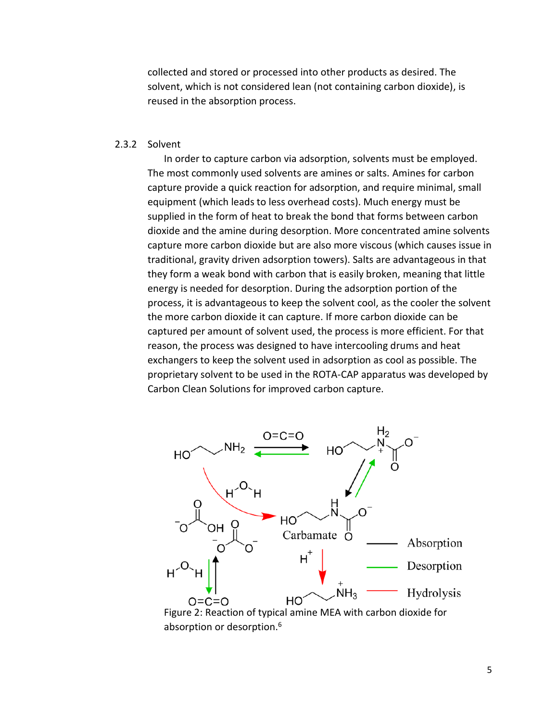collected and stored or processed into other products as desired. The solvent, which is not considered lean (not containing carbon dioxide), is reused in the absorption process.

### 2.3.2 Solvent

In order to capture carbon via adsorption, solvents must be employed. The most commonly used solvents are amines or salts. Amines for carbon capture provide a quick reaction for adsorption, and require minimal, small equipment (which leads to less overhead costs). Much energy must be supplied in the form of heat to break the bond that forms between carbon dioxide and the amine during desorption. More concentrated amine solvents capture more carbon dioxide but are also more viscous (which causes issue in traditional, gravity driven adsorption towers). Salts are advantageous in that they form a weak bond with carbon that is easily broken, meaning that little energy is needed for desorption. During the adsorption portion of the process, it is advantageous to keep the solvent cool, as the cooler the solvent the more carbon dioxide it can capture. If more carbon dioxide can be captured per amount of solvent used, the process is more efficient. For that reason, the process was designed to have intercooling drums and heat exchangers to keep the solvent used in adsorption as cool as possible. The proprietary solvent to be used in the ROTA-CAP apparatus was developed by Carbon Clean Solutions for improved carbon capture.

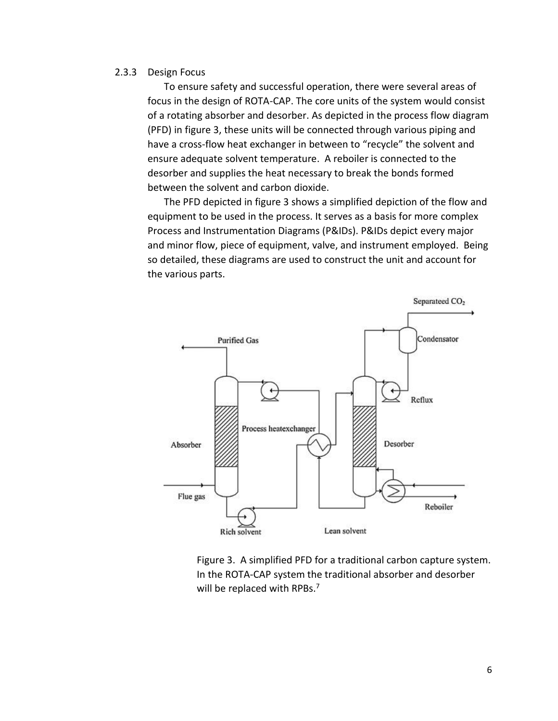### 2.3.3 Design Focus

To ensure safety and successful operation, there were several areas of focus in the design of ROTA-CAP. The core units of the system would consist of a rotating absorber and desorber. As depicted in the process flow diagram (PFD) in figure 3, these units will be connected through various piping and have a cross-flow heat exchanger in between to "recycle" the solvent and ensure adequate solvent temperature. A reboiler is connected to the desorber and supplies the heat necessary to break the bonds formed between the solvent and carbon dioxide.

The PFD depicted in figure 3 shows a simplified depiction of the flow and equipment to be used in the process. It serves as a basis for more complex Process and Instrumentation Diagrams (P&IDs). P&IDs depict every major and minor flow, piece of equipment, valve, and instrument employed. Being so detailed, these diagrams are used to construct the unit and account for the various parts.



Figure 3. A simplified PFD for a traditional carbon capture system. In the ROTA-CAP system the traditional absorber and desorber will be replaced with RPBs.<sup>7</sup>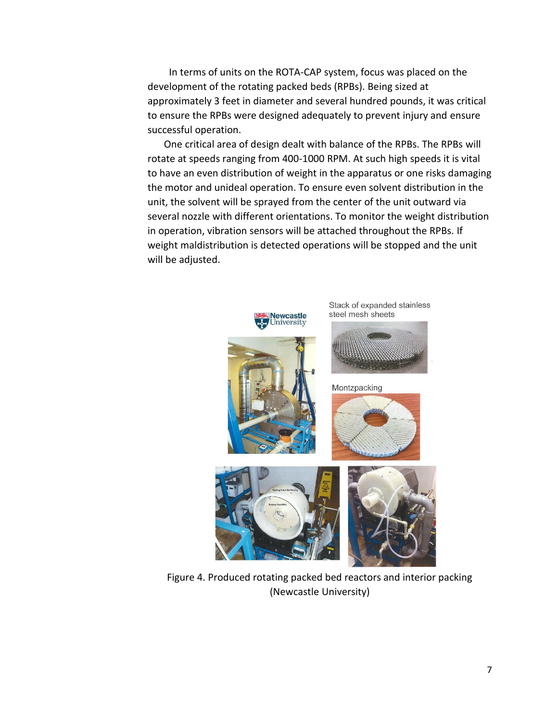In terms of units on the ROTA-CAP system, focus was placed on the development of the rotating packed beds (RPBs). Being sized at approximately 3 feet in diameter and several hundred pounds, it was critical to ensure the RPBs were designed adequately to prevent injury and ensure successful operation.

One critical area of design dealt with balance of the RPBs. The RPBs will rotate at speeds ranging from 400-1000 RPM. At such high speeds it is vital to have an even distribution of weight in the apparatus or one risks damaging the motor and unideal operation. To ensure even solvent distribution in the unit, the solvent will be sprayed from the center of the unit outward via several nozzle with different orientations. To monitor the weight distribution in operation, vibration sensors will be attached throughout the RPBs. If weight maldistribution is detected operations will be stopped and the unit will be adjusted.



Figure 4. Produced rotating packed bed reactors and interior packing (Newcastle University)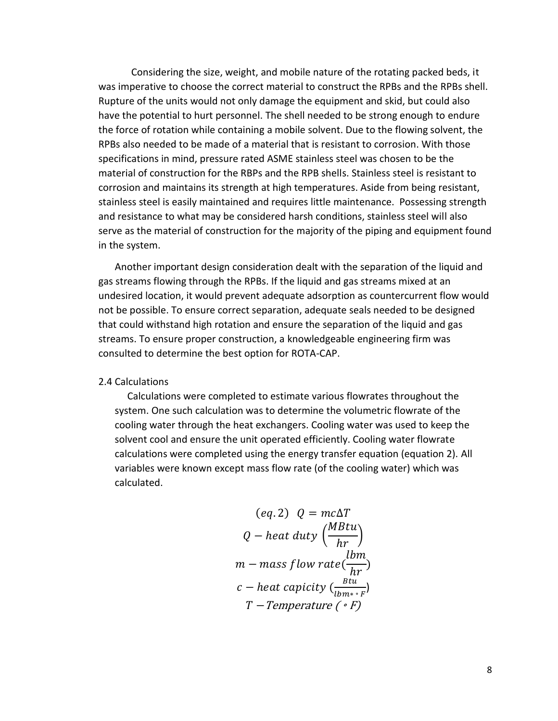Considering the size, weight, and mobile nature of the rotating packed beds, it was imperative to choose the correct material to construct the RPBs and the RPBs shell. Rupture of the units would not only damage the equipment and skid, but could also have the potential to hurt personnel. The shell needed to be strong enough to endure the force of rotation while containing a mobile solvent. Due to the flowing solvent, the RPBs also needed to be made of a material that is resistant to corrosion. With those specifications in mind, pressure rated ASME stainless steel was chosen to be the material of construction for the RBPs and the RPB shells. Stainless steel is resistant to corrosion and maintains its strength at high temperatures. Aside from being resistant, stainless steel is easily maintained and requires little maintenance. Possessing strength and resistance to what may be considered harsh conditions, stainless steel will also serve as the material of construction for the majority of the piping and equipment found in the system.

Another important design consideration dealt with the separation of the liquid and gas streams flowing through the RPBs. If the liquid and gas streams mixed at an undesired location, it would prevent adequate adsorption as countercurrent flow would not be possible. To ensure correct separation, adequate seals needed to be designed that could withstand high rotation and ensure the separation of the liquid and gas streams. To ensure proper construction, a knowledgeable engineering firm was consulted to determine the best option for ROTA-CAP.

### 2.4 Calculations

 Calculations were completed to estimate various flowrates throughout the system. One such calculation was to determine the volumetric flowrate of the cooling water through the heat exchangers. Cooling water was used to keep the solvent cool and ensure the unit operated efficiently. Cooling water flowrate calculations were completed using the energy transfer equation (equation 2). All variables were known except mass flow rate (of the cooling water) which was calculated.

$$
(eq. 2) \quad Q = mc\Delta T
$$
\n
$$
Q - heat \, duty \left(\frac{MBtu}{hr}\right)
$$
\n
$$
m - mass \, flow \, rate \left(\frac{bm}{hr}\right)
$$
\n
$$
c - heat \, capacity \left(\frac{Btu}{lbm * \cdot F}\right)
$$
\n
$$
T - Temperature \left(\cdot F\right)
$$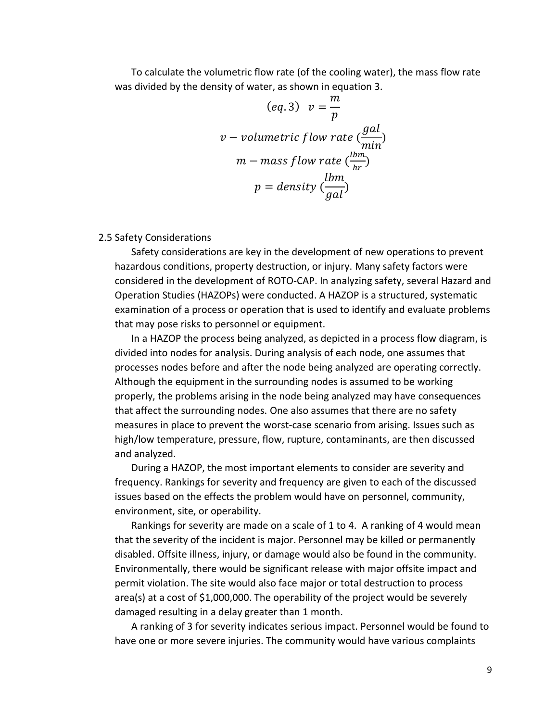To calculate the volumetric flow rate (of the cooling water), the mass flow rate was divided by the density of water, as shown in equation 3.

$$
(eq.3) \quad v = \frac{m}{p}
$$
\n
$$
v - \text{volumetric flow rate } \left(\frac{gal}{min}\right)
$$
\n
$$
m - \text{mass flow rate } \left(\frac{lbm}{hr}\right)
$$
\n
$$
p = \text{density } \left(\frac{lbm}{gal}\right)
$$

### 2.5 Safety Considerations

Safety considerations are key in the development of new operations to prevent hazardous conditions, property destruction, or injury. Many safety factors were considered in the development of ROTO-CAP. In analyzing safety, several Hazard and Operation Studies (HAZOPs) were conducted. A HAZOP is a structured, systematic examination of a process or operation that is used to identify and evaluate problems that may pose risks to personnel or equipment.

In a HAZOP the process being analyzed, as depicted in a process flow diagram, is divided into nodes for analysis. During analysis of each node, one assumes that processes nodes before and after the node being analyzed are operating correctly. Although the equipment in the surrounding nodes is assumed to be working properly, the problems arising in the node being analyzed may have consequences that affect the surrounding nodes. One also assumes that there are no safety measures in place to prevent the worst-case scenario from arising. Issues such as high/low temperature, pressure, flow, rupture, contaminants, are then discussed and analyzed.

During a HAZOP, the most important elements to consider are severity and frequency. Rankings for severity and frequency are given to each of the discussed issues based on the effects the problem would have on personnel, community, environment, site, or operability.

Rankings for severity are made on a scale of 1 to 4. A ranking of 4 would mean that the severity of the incident is major. Personnel may be killed or permanently disabled. Offsite illness, injury, or damage would also be found in the community. Environmentally, there would be significant release with major offsite impact and permit violation. The site would also face major or total destruction to process area(s) at a cost of \$1,000,000. The operability of the project would be severely damaged resulting in a delay greater than 1 month.

A ranking of 3 for severity indicates serious impact. Personnel would be found to have one or more severe injuries. The community would have various complaints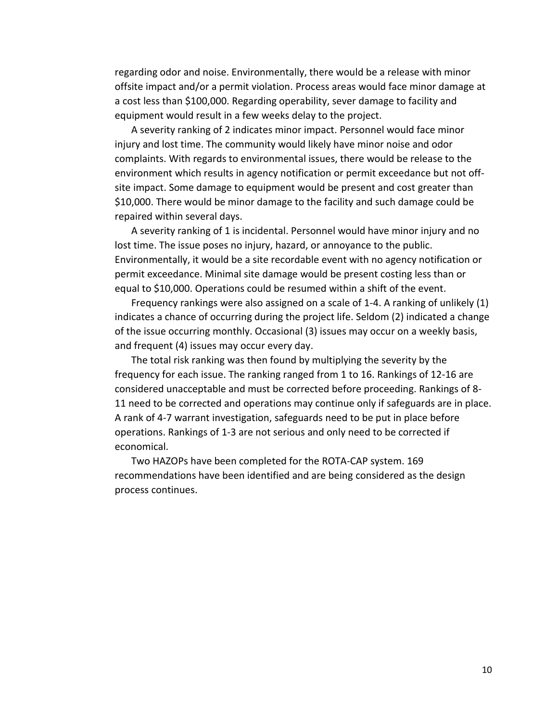regarding odor and noise. Environmentally, there would be a release with minor offsite impact and/or a permit violation. Process areas would face minor damage at a cost less than \$100,000. Regarding operability, sever damage to facility and equipment would result in a few weeks delay to the project.

A severity ranking of 2 indicates minor impact. Personnel would face minor injury and lost time. The community would likely have minor noise and odor complaints. With regards to environmental issues, there would be release to the environment which results in agency notification or permit exceedance but not offsite impact. Some damage to equipment would be present and cost greater than \$10,000. There would be minor damage to the facility and such damage could be repaired within several days.

A severity ranking of 1 is incidental. Personnel would have minor injury and no lost time. The issue poses no injury, hazard, or annoyance to the public. Environmentally, it would be a site recordable event with no agency notification or permit exceedance. Minimal site damage would be present costing less than or equal to \$10,000. Operations could be resumed within a shift of the event.

Frequency rankings were also assigned on a scale of 1-4. A ranking of unlikely (1) indicates a chance of occurring during the project life. Seldom (2) indicated a change of the issue occurring monthly. Occasional (3) issues may occur on a weekly basis, and frequent (4) issues may occur every day.

The total risk ranking was then found by multiplying the severity by the frequency for each issue. The ranking ranged from 1 to 16. Rankings of 12-16 are considered unacceptable and must be corrected before proceeding. Rankings of 8- 11 need to be corrected and operations may continue only if safeguards are in place. A rank of 4-7 warrant investigation, safeguards need to be put in place before operations. Rankings of 1-3 are not serious and only need to be corrected if economical.

Two HAZOPs have been completed for the ROTA-CAP system. 169 recommendations have been identified and are being considered as the design process continues.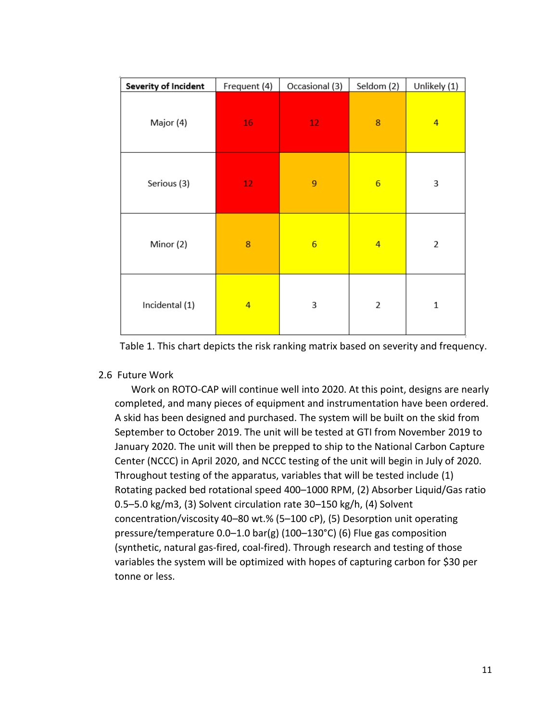| Severity of Incident | Frequent (4)    | Occasional (3)  | Seldom (2)      | Unlikely (1)   |
|----------------------|-----------------|-----------------|-----------------|----------------|
| Major (4)            | 16              | 12 <sub>1</sub> | 8               | $\overline{4}$ |
| Serious (3)          | 12 <sub>2</sub> | 9               | $6\overline{6}$ | 3              |
| Minor (2)            | 8               | $6\overline{6}$ | 4               | $\overline{2}$ |
| Incidental (1)       | 4               | 3               | 2               | $\mathbf 1$    |

Table 1. This chart depicts the risk ranking matrix based on severity and frequency.

# 2.6 Future Work

Work on ROTO-CAP will continue well into 2020. At this point, designs are nearly completed, and many pieces of equipment and instrumentation have been ordered. A skid has been designed and purchased. The system will be built on the skid from September to October 2019. The unit will be tested at GTI from November 2019 to January 2020. The unit will then be prepped to ship to the National Carbon Capture Center (NCCC) in April 2020, and NCCC testing of the unit will begin in July of 2020. Throughout testing of the apparatus, variables that will be tested include (1) Rotating packed bed rotational speed 400–1000 RPM, (2) Absorber Liquid/Gas ratio 0.5–5.0 kg/m3, (3) Solvent circulation rate 30–150 kg/h, (4) Solvent concentration/viscosity 40–80 wt.% (5–100 cP), (5) Desorption unit operating pressure/temperature 0.0–1.0 bar(g) (100–130°C) (6) Flue gas composition (synthetic, natural gas-fired, coal-fired). Through research and testing of those variables the system will be optimized with hopes of capturing carbon for \$30 per tonne or less.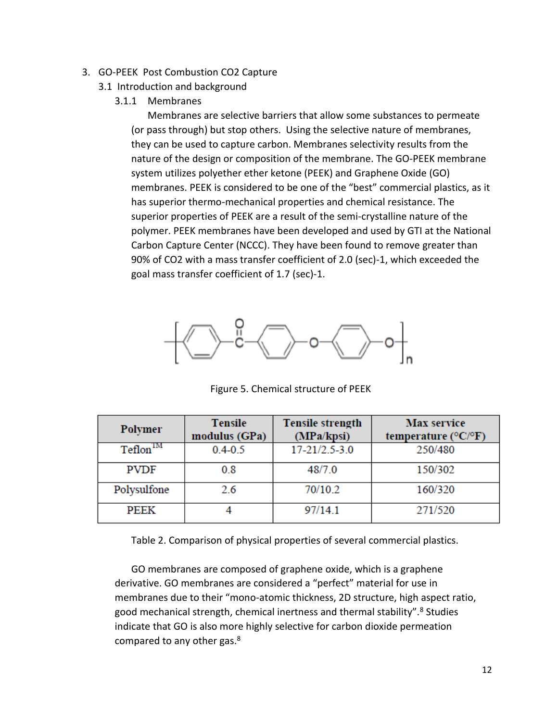- 3. GO-PEEK Post Combustion CO2 Capture
	- 3.1 Introduction and background
		- 3.1.1 Membranes

Membranes are selective barriers that allow some substances to permeate (or pass through) but stop others. Using the selective nature of membranes, they can be used to capture carbon. Membranes selectivity results from the nature of the design or composition of the membrane. The GO-PEEK membrane system utilizes polyether ether ketone (PEEK) and Graphene Oxide (GO) membranes. PEEK is considered to be one of the "best" commercial plastics, as it has superior thermo-mechanical properties and chemical resistance. The superior properties of PEEK are a result of the semi-crystalline nature of the polymer. PEEK membranes have been developed and used by GTI at the National Carbon Capture Center (NCCC). They have been found to remove greater than 90% of CO2 with a mass transfer coefficient of 2.0 (sec)-1, which exceeded the goal mass transfer coefficient of 1.7 (sec)-1.



Figure 5. Chemical structure of PEEK

| <b>Polymer</b>                  | <b>Tensile</b><br>modulus (GPa) | <b>Tensile strength</b><br>(MPa/kpsi) | <b>Max</b> service<br>temperature ( $\rm ^{\circ}C/^{\circ}F$ ) |
|---------------------------------|---------------------------------|---------------------------------------|-----------------------------------------------------------------|
| $\mathrm{Teflon}^{\mathrm{IM}}$ | $0.4 - 0.5$                     | $17 - 21/2.5 - 3.0$                   | 250/480                                                         |
| <b>PVDF</b>                     | 0.8                             | 48/7.0                                | 150/302                                                         |
| Polysulfone                     | 2.6                             | 70/10.2                               | 160/320                                                         |
| PEEK                            |                                 | 97/14.1                               | 271/520                                                         |

Table 2. Comparison of physical properties of several commercial plastics.

GO membranes are composed of graphene oxide, which is a graphene derivative. GO membranes are considered a "perfect" material for use in membranes due to their "mono-atomic thickness, 2D structure, high aspect ratio, good mechanical strength, chemical inertness and thermal stability".<sup>8</sup> Studies indicate that GO is also more highly selective for carbon dioxide permeation compared to any other gas.<sup>8</sup>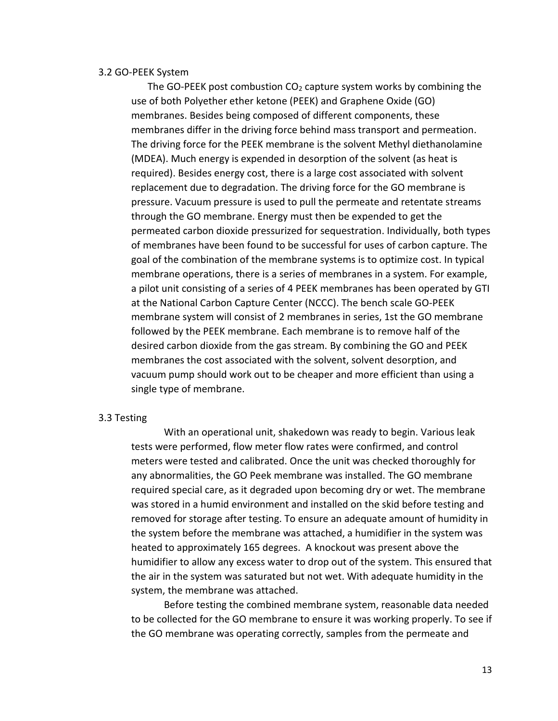### 3.2 GO-PEEK System

The GO-PEEK post combustion  $CO<sub>2</sub>$  capture system works by combining the use of both Polyether ether ketone (PEEK) and Graphene Oxide (GO) membranes. Besides being composed of different components, these membranes differ in the driving force behind mass transport and permeation. The driving force for the PEEK membrane is the solvent Methyl diethanolamine (MDEA). Much energy is expended in desorption of the solvent (as heat is required). Besides energy cost, there is a large cost associated with solvent replacement due to degradation. The driving force for the GO membrane is pressure. Vacuum pressure is used to pull the permeate and retentate streams through the GO membrane. Energy must then be expended to get the permeated carbon dioxide pressurized for sequestration. Individually, both types of membranes have been found to be successful for uses of carbon capture. The goal of the combination of the membrane systems is to optimize cost. In typical membrane operations, there is a series of membranes in a system. For example, a pilot unit consisting of a series of 4 PEEK membranes has been operated by GTI at the National Carbon Capture Center (NCCC). The bench scale GO-PEEK membrane system will consist of 2 membranes in series, 1st the GO membrane followed by the PEEK membrane. Each membrane is to remove half of the desired carbon dioxide from the gas stream. By combining the GO and PEEK membranes the cost associated with the solvent, solvent desorption, and vacuum pump should work out to be cheaper and more efficient than using a single type of membrane.

#### 3.3 Testing

With an operational unit, shakedown was ready to begin. Various leak tests were performed, flow meter flow rates were confirmed, and control meters were tested and calibrated. Once the unit was checked thoroughly for any abnormalities, the GO Peek membrane was installed. The GO membrane required special care, as it degraded upon becoming dry or wet. The membrane was stored in a humid environment and installed on the skid before testing and removed for storage after testing. To ensure an adequate amount of humidity in the system before the membrane was attached, a humidifier in the system was heated to approximately 165 degrees. A knockout was present above the humidifier to allow any excess water to drop out of the system. This ensured that the air in the system was saturated but not wet. With adequate humidity in the system, the membrane was attached.

Before testing the combined membrane system, reasonable data needed to be collected for the GO membrane to ensure it was working properly. To see if the GO membrane was operating correctly, samples from the permeate and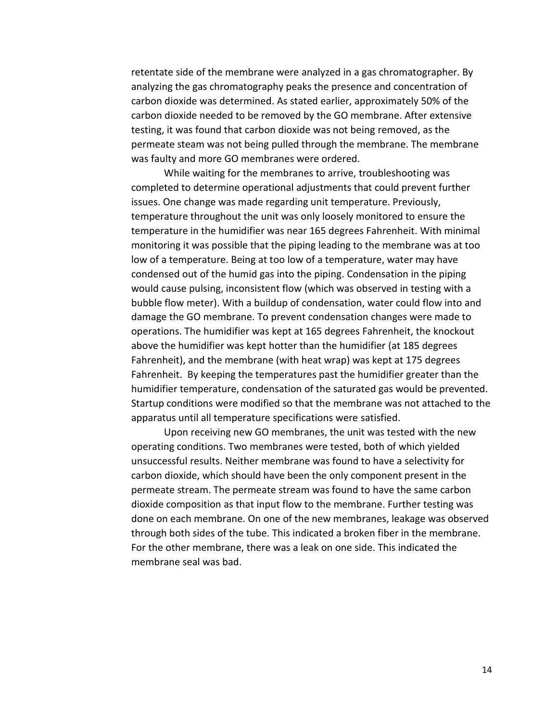retentate side of the membrane were analyzed in a gas chromatographer. By analyzing the gas chromatography peaks the presence and concentration of carbon dioxide was determined. As stated earlier, approximately 50% of the carbon dioxide needed to be removed by the GO membrane. After extensive testing, it was found that carbon dioxide was not being removed, as the permeate steam was not being pulled through the membrane. The membrane was faulty and more GO membranes were ordered.

While waiting for the membranes to arrive, troubleshooting was completed to determine operational adjustments that could prevent further issues. One change was made regarding unit temperature. Previously, temperature throughout the unit was only loosely monitored to ensure the temperature in the humidifier was near 165 degrees Fahrenheit. With minimal monitoring it was possible that the piping leading to the membrane was at too low of a temperature. Being at too low of a temperature, water may have condensed out of the humid gas into the piping. Condensation in the piping would cause pulsing, inconsistent flow (which was observed in testing with a bubble flow meter). With a buildup of condensation, water could flow into and damage the GO membrane. To prevent condensation changes were made to operations. The humidifier was kept at 165 degrees Fahrenheit, the knockout above the humidifier was kept hotter than the humidifier (at 185 degrees Fahrenheit), and the membrane (with heat wrap) was kept at 175 degrees Fahrenheit. By keeping the temperatures past the humidifier greater than the humidifier temperature, condensation of the saturated gas would be prevented. Startup conditions were modified so that the membrane was not attached to the apparatus until all temperature specifications were satisfied.

Upon receiving new GO membranes, the unit was tested with the new operating conditions. Two membranes were tested, both of which yielded unsuccessful results. Neither membrane was found to have a selectivity for carbon dioxide, which should have been the only component present in the permeate stream. The permeate stream was found to have the same carbon dioxide composition as that input flow to the membrane. Further testing was done on each membrane. On one of the new membranes, leakage was observed through both sides of the tube. This indicated a broken fiber in the membrane. For the other membrane, there was a leak on one side. This indicated the membrane seal was bad.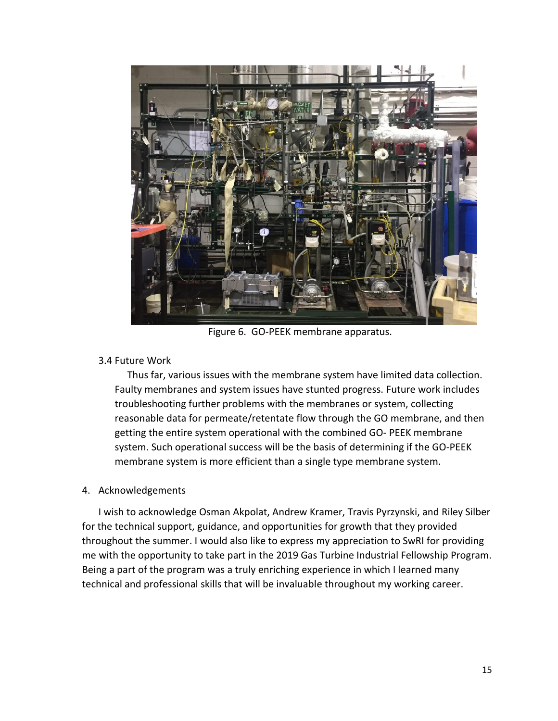

Figure 6. GO-PEEK membrane apparatus.

## 3.4 Future Work

 Thus far, various issues with the membrane system have limited data collection. Faulty membranes and system issues have stunted progress. Future work includes troubleshooting further problems with the membranes or system, collecting reasonable data for permeate/retentate flow through the GO membrane, and then getting the entire system operational with the combined GO- PEEK membrane system. Such operational success will be the basis of determining if the GO-PEEK membrane system is more efficient than a single type membrane system.

### 4. Acknowledgements

I wish to acknowledge Osman Akpolat, Andrew Kramer, Travis Pyrzynski, and Riley Silber for the technical support, guidance, and opportunities for growth that they provided throughout the summer. I would also like to express my appreciation to SwRI for providing me with the opportunity to take part in the 2019 Gas Turbine Industrial Fellowship Program. Being a part of the program was a truly enriching experience in which I learned many technical and professional skills that will be invaluable throughout my working career.